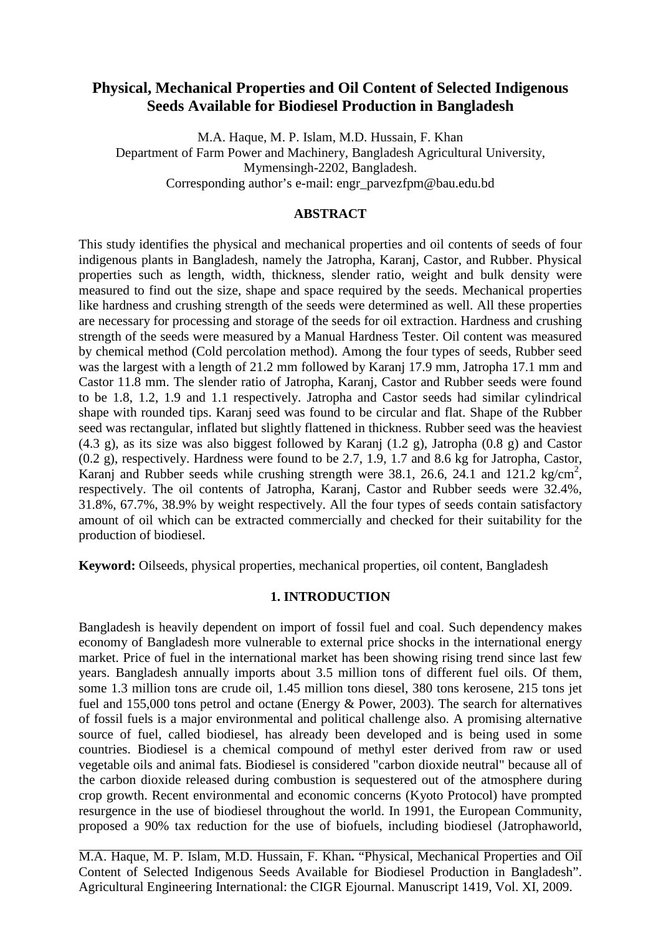# **Physical, Mechanical Properties and Oil Content of Selected Indigenous Seeds Available for Biodiesel Production in Bangladesh**

M.A. Haque, M. P. Islam, M.D. Hussain, F. Khan Department of Farm Power and Machinery, Bangladesh Agricultural University, Mymensingh-2202, Bangladesh. Corresponding author's e-mail: engr\_parvezfpm@bau.edu.bd

### **ABSTRACT**

This study identifies the physical and mechanical properties and oil contents of seeds of four indigenous plants in Bangladesh, namely the Jatropha, Karanj, Castor, and Rubber. Physical properties such as length, width, thickness, slender ratio, weight and bulk density were measured to find out the size, shape and space required by the seeds. Mechanical properties like hardness and crushing strength of the seeds were determined as well. All these properties are necessary for processing and storage of the seeds for oil extraction. Hardness and crushing strength of the seeds were measured by a Manual Hardness Tester. Oil content was measured by chemical method (Cold percolation method). Among the four types of seeds, Rubber seed was the largest with a length of 21.2 mm followed by Karanj 17.9 mm, Jatropha 17.1 mm and Castor 11.8 mm. The slender ratio of Jatropha, Karanj, Castor and Rubber seeds were found to be 1.8, 1.2, 1.9 and 1.1 respectively. Jatropha and Castor seeds had similar cylindrical shape with rounded tips. Karanj seed was found to be circular and flat. Shape of the Rubber seed was rectangular, inflated but slightly flattened in thickness. Rubber seed was the heaviest (4.3 g), as its size was also biggest followed by Karanj (1.2 g), Jatropha (0.8 g) and Castor (0.2 g), respectively. Hardness were found to be 2.7, 1.9, 1.7 and 8.6 kg for Jatropha, Castor, Karanj and Rubber seeds while crushing strength were 38.1, 26.6, 24.1 and 121.2 kg/cm<sup>2</sup>, respectively. The oil contents of Jatropha, Karanj, Castor and Rubber seeds were 32.4%, 31.8%, 67.7%, 38.9% by weight respectively. All the four types of seeds contain satisfactory amount of oil which can be extracted commercially and checked for their suitability for the production of biodiesel.

**Keyword:** Oilseeds, physical properties, mechanical properties, oil content, Bangladesh

## **1. INTRODUCTION**

Bangladesh is heavily dependent on import of fossil fuel and coal. Such dependency makes economy of Bangladesh more vulnerable to external price shocks in the international energy market. Price of fuel in the international market has been showing rising trend since last few years. Bangladesh annually imports about 3.5 million tons of different fuel oils. Of them, some 1.3 million tons are crude oil, 1.45 million tons diesel, 380 tons kerosene, 215 tons jet fuel and 155,000 tons petrol and octane (Energy & Power, 2003). The search for alternatives of fossil fuels is a major environmental and political challenge also. A promising alternative source of fuel, called biodiesel, has already been developed and is being used in some countries. Biodiesel is a chemical compound of methyl ester derived from raw or used vegetable oils and animal fats. Biodiesel is considered "carbon dioxide neutral" because all of the carbon dioxide released during combustion is sequestered out of the atmosphere during crop growth. Recent environmental and economic concerns (Kyoto Protocol) have prompted resurgence in the use of biodiesel throughout the world. In 1991, the European Community, proposed a 90% tax reduction for the use of biofuels, including biodiesel (Jatrophaworld,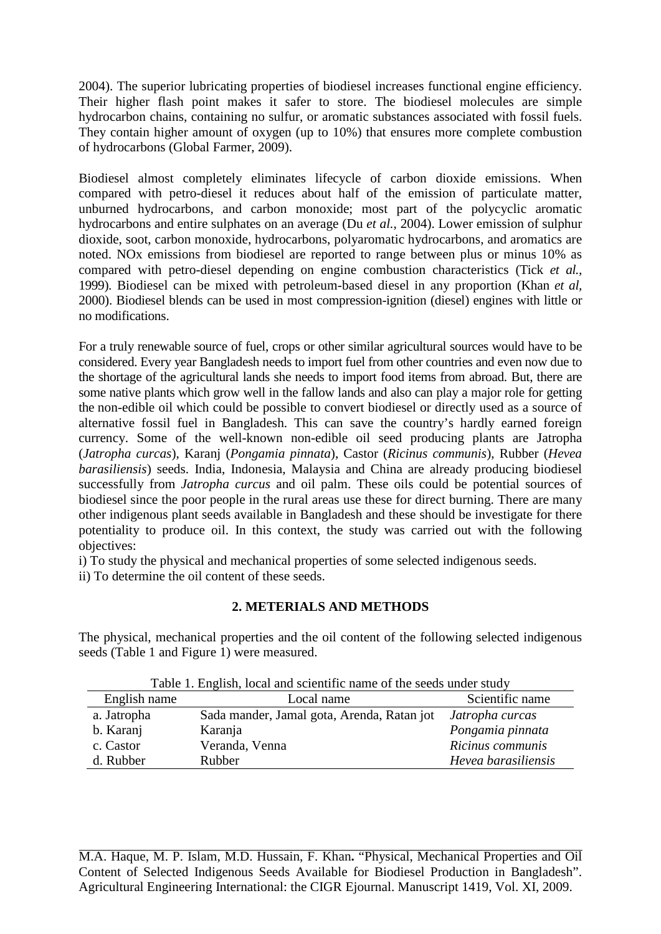2004). The superior lubricating properties of biodiesel increases functional engine efficiency. Their higher flash point makes it safer to store. The biodiesel molecules are simple hydrocarbon chains, containing no sulfur, or aromatic substances associated with fossil fuels. They contain higher amount of oxygen (up to 10%) that ensures more complete combustion of hydrocarbons (Global Farmer, 2009).

Biodiesel almost completely eliminates lifecycle of carbon dioxide emissions. When compared with petro-diesel it reduces about half of the emission of particulate matter, unburned hydrocarbons, and carbon monoxide; most part of the polycyclic aromatic hydrocarbons and entire sulphates on an average (Du *et al.*, 2004). Lower emission of sulphur dioxide, soot, carbon monoxide, hydrocarbons, polyaromatic hydrocarbons, and aromatics are noted. NOx emissions from biodiesel are reported to range between plus or minus 10% as compared with petro-diesel depending on engine combustion characteristics (Tick *et al.,* 1999). Biodiesel can be mixed with petroleum-based diesel in any proportion (Khan *et al,*  2000). Biodiesel blends can be used in most compression-ignition (diesel) engines with little or no modifications.

For a truly renewable source of fuel, crops or other similar agricultural sources would have to be considered. Every year Bangladesh needs to import fuel from other countries and even now due to the shortage of the agricultural lands she needs to import food items from abroad. But, there are some native plants which grow well in the fallow lands and also can play a major role for getting the non-edible oil which could be possible to convert biodiesel or directly used as a source of alternative fossil fuel in Bangladesh. This can save the country's hardly earned foreign currency. Some of the well-known non-edible oil seed producing plants are Jatropha (*Jatropha curcas*), Karanj (*Pongamia pinnata*), Castor (*Ricinus communis*), Rubber (*Hevea barasiliensis*) seeds. India, Indonesia, Malaysia and China are already producing biodiesel successfully from *Jatropha curcus* and oil palm. These oils could be potential sources of biodiesel since the poor people in the rural areas use these for direct burning. There are many other indigenous plant seeds available in Bangladesh and these should be investigate for there potentiality to produce oil. In this context, the study was carried out with the following objectives:

i) To study the physical and mechanical properties of some selected indigenous seeds.

ii) To determine the oil content of these seeds.

# **2. METERIALS AND METHODS**

The physical, mechanical properties and the oil content of the following selected indigenous seeds (Table 1 and Figure 1) were measured.

| <u>twoit it milleting total will beltinity invitite of the better willet.</u> |                                            |                     |  |  |  |  |  |
|-------------------------------------------------------------------------------|--------------------------------------------|---------------------|--|--|--|--|--|
| English name                                                                  | Local name                                 | Scientific name     |  |  |  |  |  |
| a. Jatropha                                                                   | Sada mander, Jamal gota, Arenda, Ratan jot | Jatropha curcas     |  |  |  |  |  |
| b. Karanj                                                                     | Karanja                                    | Pongamia pinnata    |  |  |  |  |  |
| c. Castor                                                                     | Veranda, Venna                             | Ricinus communis    |  |  |  |  |  |
| d. Rubber                                                                     | Rubber                                     | Hevea barasiliensis |  |  |  |  |  |

Table 1. English, local and scientific name of the seeds under study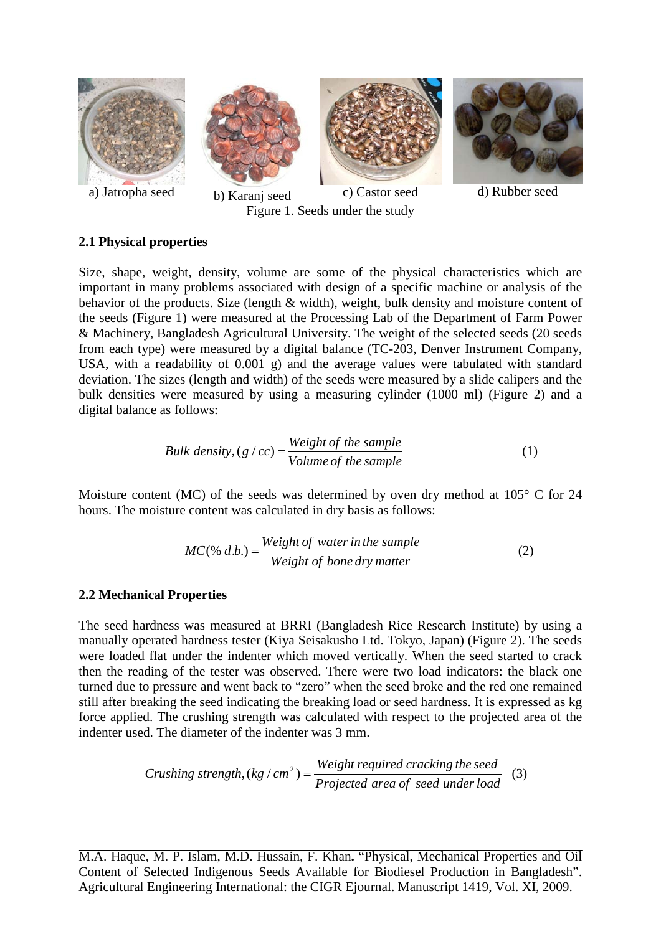

### **2.1 Physical properties**

Size, shape, weight, density, volume are some of the physical characteristics which are important in many problems associated with design of a specific machine or analysis of the behavior of the products. Size (length & width), weight, bulk density and moisture content of the seeds (Figure 1) were measured at the Processing Lab of the Department of Farm Power & Machinery, Bangladesh Agricultural University. The weight of the selected seeds (20 seeds from each type) were measured by a digital balance (TC-203, Denver Instrument Company, USA, with a readability of 0.001 g) and the average values were tabulated with standard deviation. The sizes (length and width) of the seeds were measured by a slide calipers and the bulk densities were measured by using a measuring cylinder (1000 ml) (Figure 2) and a digital balance as follows:

*Bulk density*, 
$$
(g / cc) = \frac{Weight \ of \ the \ sample}{Volume \ of \ the \ sample}
$$
 (1)

Moisture content (MC) of the seeds was determined by oven dry method at  $105^{\circ}$  C for 24 hours. The moisture content was calculated in dry basis as follows:

$$
MC(\% d.b.) = \frac{Weight\ of\ water\ in\ the\ sample}{Weight\ of\ bone\ dry\ matter}
$$
 (2)

#### **2.2 Mechanical Properties**

The seed hardness was measured at BRRI (Bangladesh Rice Research Institute) by using a manually operated hardness tester (Kiya Seisakusho Ltd. Tokyo, Japan) (Figure 2). The seeds were loaded flat under the indenter which moved vertically. When the seed started to crack then the reading of the tester was observed. There were two load indicators: the black one turned due to pressure and went back to "zero" when the seed broke and the red one remained still after breaking the seed indicating the breaking load or seed hardness. It is expressed as kg force applied. The crushing strength was calculated with respect to the projected area of the indenter used. The diameter of the indenter was 3 mm.

*Crushing strength,* 
$$
(kg/cm^2)
$$
 =  $\frac{Weight\ required\ cracking\ the\ seed}{Projected\ area\ of\ seed\ under\ load}$  (3)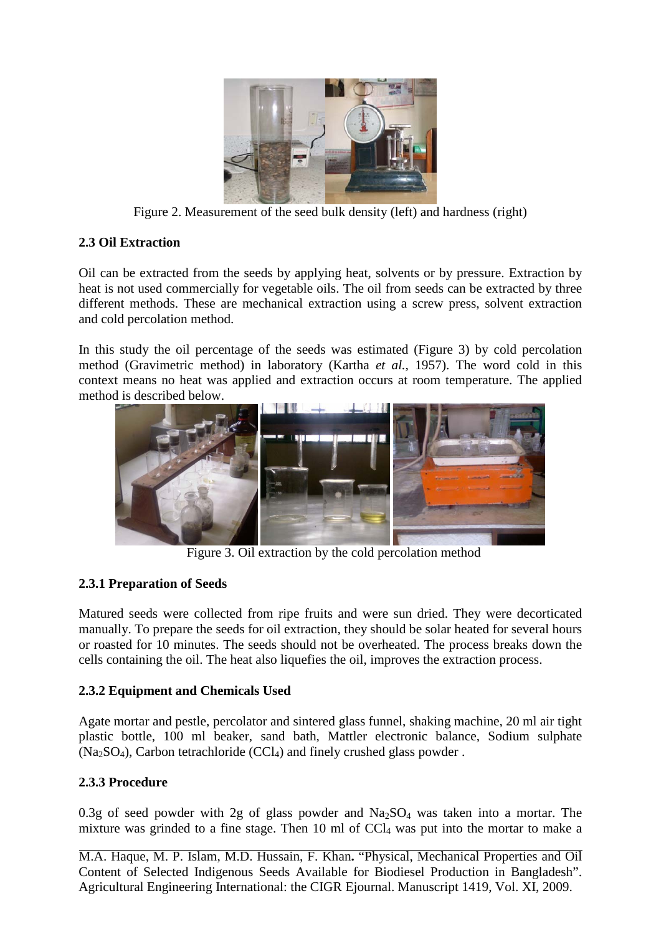

Figure 2. Measurement of the seed bulk density (left) and hardness (right)

# **2.3 Oil Extraction**

Oil can be extracted from the seeds by applying heat, solvents or by pressure. Extraction by heat is not used commercially for vegetable oils. The oil from seeds can be extracted by three different methods. These are mechanical extraction using a screw press, solvent extraction and cold percolation method.

In this study the oil percentage of the seeds was estimated (Figure 3) by cold percolation method (Gravimetric method) in laboratory (Kartha *et al.,* 1957). The word cold in this context means no heat was applied and extraction occurs at room temperature. The applied method is described below.



Figure 3. Oil extraction by the cold percolation method

# **2.3.1 Preparation of Seeds**

Matured seeds were collected from ripe fruits and were sun dried. They were decorticated manually. To prepare the seeds for oil extraction, they should be solar heated for several hours or roasted for 10 minutes. The seeds should not be overheated. The process breaks down the cells containing the oil. The heat also liquefies the oil, improves the extraction process.

# **2.3.2 Equipment and Chemicals Used**

Agate mortar and pestle, percolator and sintered glass funnel, shaking machine, 20 ml air tight plastic bottle, 100 ml beaker, sand bath, Mattler electronic balance, Sodium sulphate  $(Na<sub>2</sub>SO<sub>4</sub>)$ , Carbon tetrachloride  $(CCl<sub>4</sub>)$  and finely crushed glass powder .

## **2.3.3 Procedure**

0.3g of seed powder with 2g of glass powder and  $Na<sub>2</sub>SO<sub>4</sub>$  was taken into a mortar. The mixture was grinded to a fine stage. Then 10 ml of  $CCl<sub>4</sub>$  was put into the mortar to make a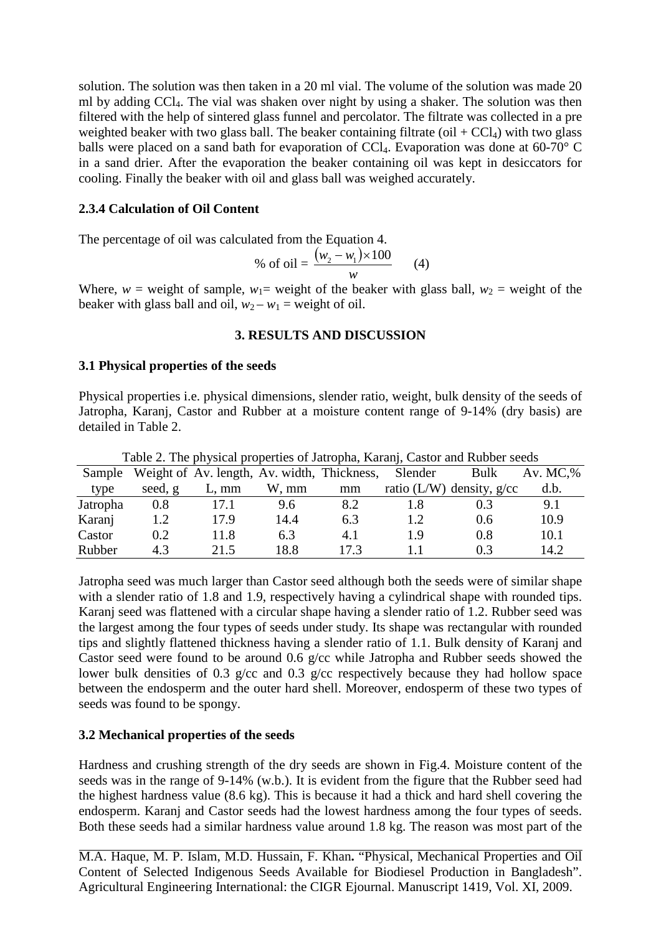solution. The solution was then taken in a 20 ml vial. The volume of the solution was made 20 ml by adding CCl4. The vial was shaken over night by using a shaker. The solution was then filtered with the help of sintered glass funnel and percolator. The filtrate was collected in a pre weighted beaker with two glass ball. The beaker containing filtrate (oil  $+ CCI<sub>4</sub>$ ) with two glass balls were placed on a sand bath for evaporation of  $CCl<sub>4</sub>$ . Evaporation was done at 60-70° C in a sand drier. After the evaporation the beaker containing oil was kept in desiccators for cooling. Finally the beaker with oil and glass ball was weighed accurately.

### **2.3.4 Calculation of Oil Content**

The percentage of oil was calculated from the Equation 4.

% of oil = 
$$
\frac{(w_2 - w_1) \times 100}{w}
$$
 (4)

Where,  $w =$  weight of sample,  $w_1 =$  weight of the beaker with glass ball,  $w_2 =$  weight of the beaker with glass ball and oil,  $w_2 - w_1$  = weight of oil.

### **3. RESULTS AND DISCUSSION**

#### **3.1 Physical properties of the seeds**

Physical properties i.e. physical dimensions, slender ratio, weight, bulk density of the seeds of Jatropha, Karanj, Castor and Rubber at a moisture content range of 9-14% (dry basis) are detailed in Table 2.

| Table 2. The physical properties of Jatropha, Karanj, Castor and Rubber seeds |         |                                             |       |      |         |                             |            |  |  |
|-------------------------------------------------------------------------------|---------|---------------------------------------------|-------|------|---------|-----------------------------|------------|--|--|
| Sample                                                                        |         | Weight of Av. length, Av. width, Thickness, |       |      | Slender | Bulk                        | Av. $MC$ % |  |  |
| type                                                                          | seed, g | $L, \, mm$                                  | W, mm | mm   |         | ratio (L/W) density, $g/cc$ | d.b.       |  |  |
| Jatropha                                                                      | 0.8     | 17.1                                        | 9.6   | 8.2  | 1.8     | 0.3                         | 9.1        |  |  |
| Karanj                                                                        | 1.2     | 17.9                                        | 14.4  | 6.3  | 1.2     | 0.6                         | 10.9       |  |  |
| Castor                                                                        | 0.2     | 11.8                                        | 6.3   | 4.1  | 1.9     | 0.8                         | 10.1       |  |  |
| Rubber                                                                        | 43      | 21.5                                        | 18.8  | 17.3 |         | 0.3                         | 14.2       |  |  |

Table 2. The physical properties of Jatropha, Karanj, Castor and Rubber seeds

Jatropha seed was much larger than Castor seed although both the seeds were of similar shape with a slender ratio of 1.8 and 1.9, respectively having a cylindrical shape with rounded tips. Karanj seed was flattened with a circular shape having a slender ratio of 1.2. Rubber seed was the largest among the four types of seeds under study. Its shape was rectangular with rounded tips and slightly flattened thickness having a slender ratio of 1.1. Bulk density of Karanj and Castor seed were found to be around 0.6 g/cc while Jatropha and Rubber seeds showed the lower bulk densities of 0.3 g/cc and 0.3 g/cc respectively because they had hollow space between the endosperm and the outer hard shell. Moreover, endosperm of these two types of seeds was found to be spongy.

### **3.2 Mechanical properties of the seeds**

Hardness and crushing strength of the dry seeds are shown in Fig.4. Moisture content of the seeds was in the range of 9-14% (w.b.). It is evident from the figure that the Rubber seed had the highest hardness value (8.6 kg). This is because it had a thick and hard shell covering the endosperm. Karanj and Castor seeds had the lowest hardness among the four types of seeds. Both these seeds had a similar hardness value around 1.8 kg. The reason was most part of the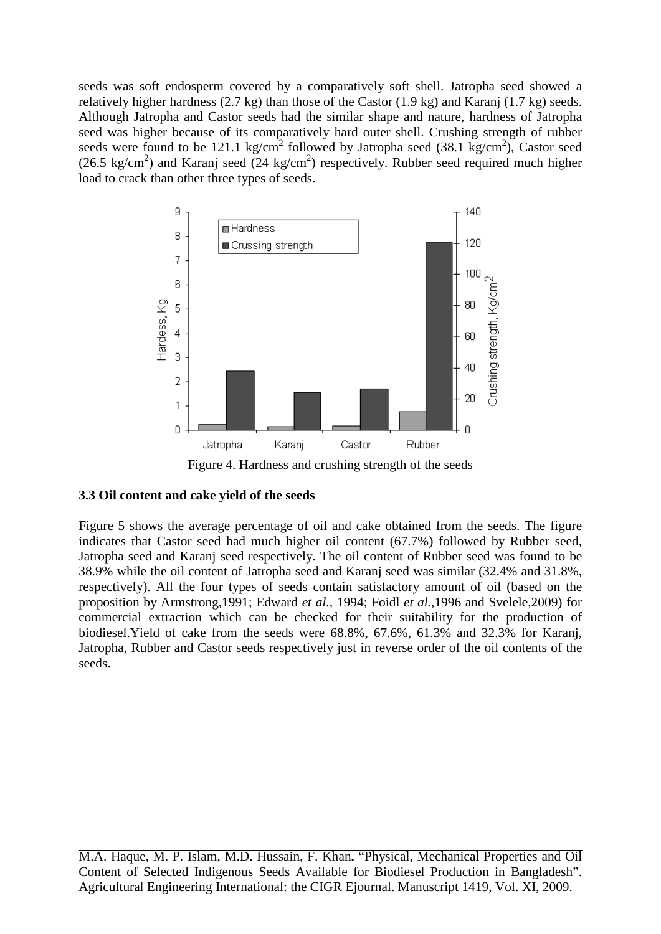seeds was soft endosperm covered by a comparatively soft shell. Jatropha seed showed a relatively higher hardness (2.7 kg) than those of the Castor (1.9 kg) and Karanj (1.7 kg) seeds. Although Jatropha and Castor seeds had the similar shape and nature, hardness of Jatropha seed was higher because of its comparatively hard outer shell. Crushing strength of rubber seeds were found to be 121.1 kg/cm<sup>2</sup> followed by Jatropha seed (38.1 kg/cm<sup>2</sup>), Castor seed (26.5 kg/cm<sup>2</sup>) and Karanj seed (24 kg/cm<sup>2</sup>) respectively. Rubber seed required much higher load to crack than other three types of seeds.



Figure 4. Hardness and crushing strength of the seeds

# **3.3 Oil content and cake yield of the seeds**

Figure 5 shows the average percentage of oil and cake obtained from the seeds. The figure indicates that Castor seed had much higher oil content (67.7%) followed by Rubber seed, Jatropha seed and Karanj seed respectively. The oil content of Rubber seed was found to be 38.9% while the oil content of Jatropha seed and Karanj seed was similar (32.4% and 31.8%, respectively). All the four types of seeds contain satisfactory amount of oil (based on the proposition by Armstrong,1991; Edward *et al.*, 1994; Foidl *et al.*,1996 and Svelele,2009) for commercial extraction which can be checked for their suitability for the production of biodiesel.Yield of cake from the seeds were 68.8%, 67.6%, 61.3% and 32.3% for Karanj, Jatropha, Rubber and Castor seeds respectively just in reverse order of the oil contents of the seeds.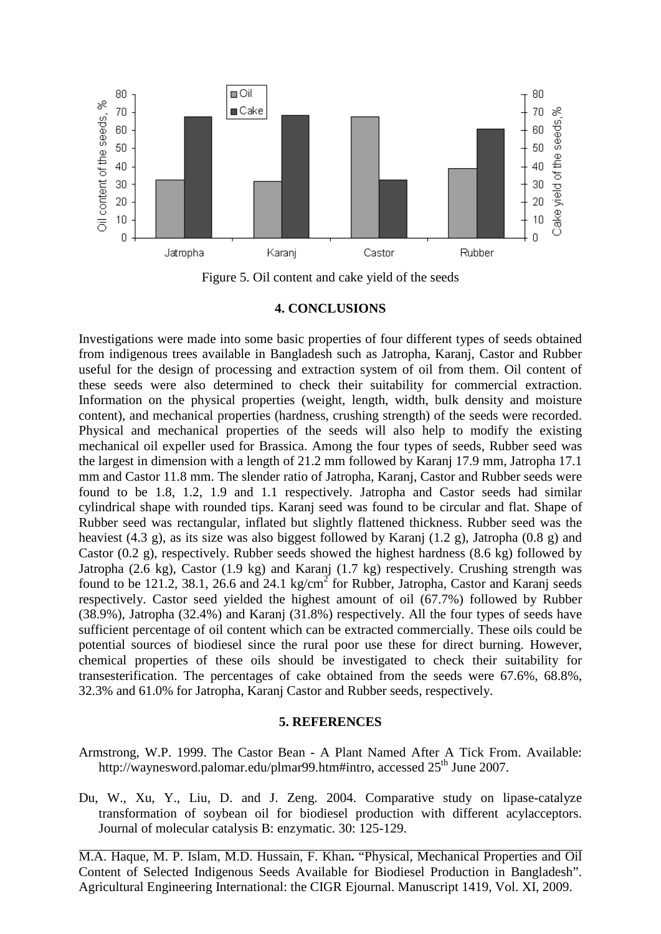

Figure 5. Oil content and cake yield of the seeds

#### **4. CONCLUSIONS**

Investigations were made into some basic properties of four different types of seeds obtained from indigenous trees available in Bangladesh such as Jatropha, Karanj, Castor and Rubber useful for the design of processing and extraction system of oil from them. Oil content of these seeds were also determined to check their suitability for commercial extraction. Information on the physical properties (weight, length, width, bulk density and moisture content), and mechanical properties (hardness, crushing strength) of the seeds were recorded. Physical and mechanical properties of the seeds will also help to modify the existing mechanical oil expeller used for Brassica. Among the four types of seeds, Rubber seed was the largest in dimension with a length of 21.2 mm followed by Karanj 17.9 mm, Jatropha 17.1 mm and Castor 11.8 mm. The slender ratio of Jatropha, Karanj, Castor and Rubber seeds were found to be 1.8, 1.2, 1.9 and 1.1 respectively. Jatropha and Castor seeds had similar cylindrical shape with rounded tips. Karanj seed was found to be circular and flat. Shape of Rubber seed was rectangular, inflated but slightly flattened thickness. Rubber seed was the heaviest (4.3 g), as its size was also biggest followed by Karanj (1.2 g), Jatropha (0.8 g) and Castor (0.2 g), respectively. Rubber seeds showed the highest hardness (8.6 kg) followed by Jatropha (2.6 kg), Castor (1.9 kg) and Karanj (1.7 kg) respectively. Crushing strength was found to be 121.2, 38.1, 26.6 and 24.1 kg/cm<sup>2</sup> for Rubber, Jatropha, Castor and Karanj seeds respectively. Castor seed yielded the highest amount of oil (67.7%) followed by Rubber (38.9%), Jatropha (32.4%) and Karanj (31.8%) respectively. All the four types of seeds have sufficient percentage of oil content which can be extracted commercially. These oils could be potential sources of biodiesel since the rural poor use these for direct burning. However, chemical properties of these oils should be investigated to check their suitability for transesterification. The percentages of cake obtained from the seeds were 67.6%, 68.8%, 32.3% and 61.0% for Jatropha, Karanj Castor and Rubber seeds, respectively.

#### **5. REFERENCES**

- Armstrong, W.P. 1999. The Castor Bean A Plant Named After A Tick From. Available: http://waynesword.palomar.edu/plmar99.htm#intro, accessed  $25<sup>th</sup>$  June 2007.
- Du, W., Xu, Y., Liu, D. and J. Zeng. 2004. Comparative study on lipase-catalyze transformation of soybean oil for biodiesel production with different acylacceptors. Journal of molecular catalysis B: enzymatic. 30: 125-129.

M.A. Haque, M. P. Islam, M.D. Hussain, F. Khan**.** "Physical, Mechanical Properties and Oil Content of Selected Indigenous Seeds Available for Biodiesel Production in Bangladesh". Agricultural Engineering International: the CIGR Ejournal. Manuscript 1419, Vol. XI, 2009.